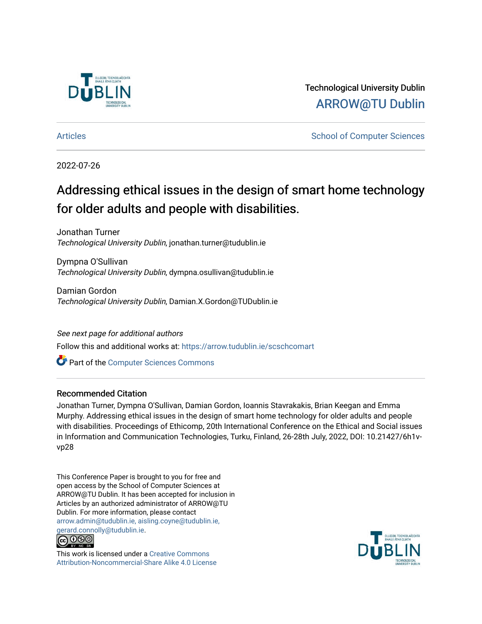

Technological University Dublin [ARROW@TU Dublin](https://arrow.tudublin.ie/) 

[Articles](https://arrow.tudublin.ie/scschcomart) **School of Computer Sciences** School of Computer Sciences

2022-07-26

# Addressing ethical issues in the design of smart home technology for older adults and people with disabilities.

Jonathan Turner Technological University Dublin, jonathan.turner@tudublin.ie

Dympna O'Sullivan Technological University Dublin, dympna.osullivan@tudublin.ie

Damian Gordon Technological University Dublin, Damian.X.Gordon@TUDublin.ie

See next page for additional authors Follow this and additional works at: [https://arrow.tudublin.ie/scschcomart](https://arrow.tudublin.ie/scschcomart?utm_source=arrow.tudublin.ie%2Fscschcomart%2F154&utm_medium=PDF&utm_campaign=PDFCoverPages)

**Part of the [Computer Sciences Commons](http://network.bepress.com/hgg/discipline/142?utm_source=arrow.tudublin.ie%2Fscschcomart%2F154&utm_medium=PDF&utm_campaign=PDFCoverPages)** 

### Recommended Citation

Jonathan Turner, Dympna O'Sullivan, Damian Gordon, Ioannis Stavrakakis, Brian Keegan and Emma Murphy. Addressing ethical issues in the design of smart home technology for older adults and people with disabilities. Proceedings of Ethicomp, 20th International Conference on the Ethical and Social issues in Information and Communication Technologies, Turku, Finland, 26-28th July, 2022, DOI: 10.21427/6h1vvp28

This Conference Paper is brought to you for free and open access by the School of Computer Sciences at ARROW@TU Dublin. It has been accepted for inclusion in Articles by an authorized administrator of ARROW@TU Dublin. For more information, please contact [arrow.admin@tudublin.ie, aisling.coyne@tudublin.ie,](mailto:arrow.admin@tudublin.ie,%20aisling.coyne@tudublin.ie,%20gerard.connolly@tudublin.ie)  [gerard.connolly@tudublin.ie](mailto:arrow.admin@tudublin.ie,%20aisling.coyne@tudublin.ie,%20gerard.connolly@tudublin.ie).



This work is licensed under a [Creative Commons](http://creativecommons.org/licenses/by-nc-sa/4.0/) [Attribution-Noncommercial-Share Alike 4.0 License](http://creativecommons.org/licenses/by-nc-sa/4.0/)

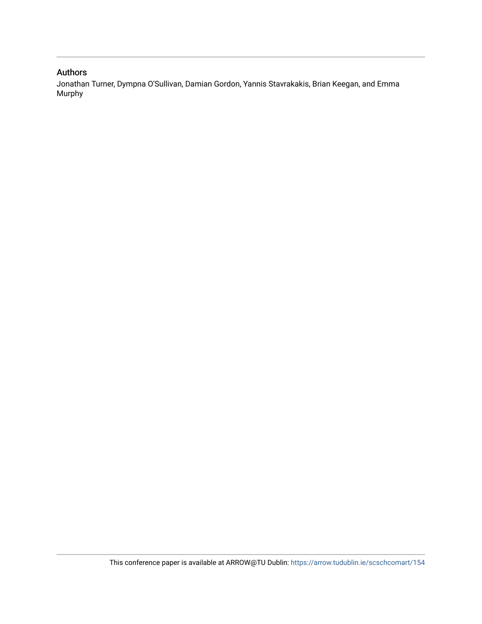## Authors

Jonathan Turner, Dympna O'Sullivan, Damian Gordon, Yannis Stavrakakis, Brian Keegan, and Emma Murphy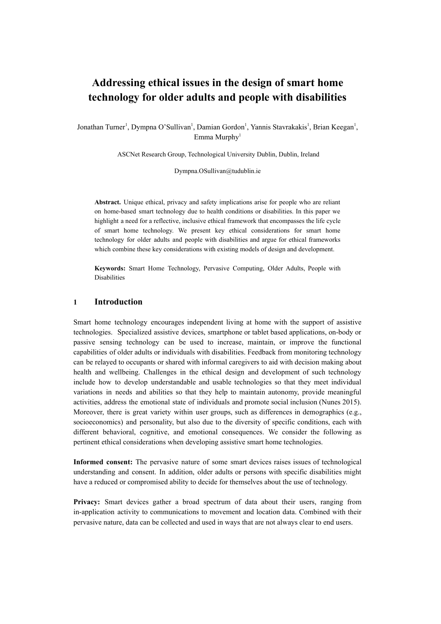# **Addressing ethical issues in the design of smart home technology for older adults and people with disabilities**

Jonathan Turner<sup>1</sup>, Dympna O'Sullivan<sup>1</sup>, Damian Gordon<sup>1</sup>, Yannis Stavrakakis<sup>1</sup>, Brian Keegan<sup>1</sup>, Emma Murphy<sup>1</sup>

ASCNet Research Group, Technological University Dublin, Dublin, Ireland

Dympna.OSullivan@tudublin.ie

**Abstract.** Unique ethical, privacy and safety implications arise for people who are reliant on home-based smart technology due to health conditions or disabilities. In this paper we highlight a need for a reflective, inclusive ethical framework that encompasses the life cycle of smart home technology. We present key ethical considerations for smart home technology for older adults and people with disabilities and argue for ethical frameworks which combine these key considerations with existing models of design and development.

**Keywords:** Smart Home Technology, Pervasive Computing, Older Adults, People with Disabilities

#### **1 Introduction**

Smart home technology encourages independent living at home with the support of assistive technologies. Specialized assistive devices, smartphone or tablet based applications, on-body or passive sensing technology can be used to increase, maintain, or improve the functional capabilities of older adults or individuals with disabilities. Feedback from monitoring technology can be relayed to occupants or shared with informal caregivers to aid with decision making about health and wellbeing. Challenges in the ethical design and development of such technology include how to develop understandable and usable technologies so that they meet individual variations in needs and abilities so that they help to maintain autonomy, provide meaningful activities, address the emotional state of individuals and promote social inclusion (Nunes 2015). Moreover, there is great variety within user groups, such as differences in demographics (e.g., socioeconomics) and personality, but also due to the diversity of specific conditions, each with different behavioral, cognitive, and emotional consequences. We consider the following as pertinent ethical considerations when developing assistive smart home technologies.

**Informed consent:** The pervasive nature of some smart devices raises issues of technological understanding and consent. In addition, older adults or persons with specific disabilities might have a reduced or compromised ability to decide for themselves about the use of technology.

**Privacy:** Smart devices gather a broad spectrum of data about their users, ranging from in-application activity to communications to movement and location data. Combined with their pervasive nature, data can be collected and used in ways that are not always clear to end users.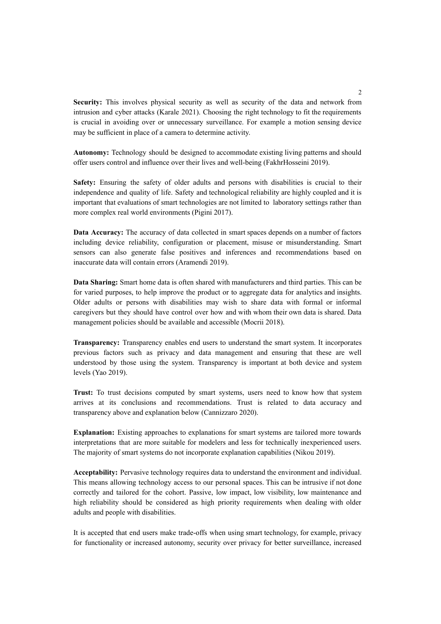**Security:** This involves physical security as well as security of the data and network from intrusion and cyber attacks (Karale 2021). Choosing the right technology to fit the requirements is crucial in avoiding over or unnecessary surveillance. For example a motion sensing device may be sufficient in place of a camera to determine activity.

**Autonomy:** Technology should be designed to accommodate existing living patterns and should offer users control and influence over their lives and well-being (FakhrHosseini 2019).

Safety: Ensuring the safety of older adults and persons with disabilities is crucial to their independence and quality of life. Safety and technological reliability are highly coupled and it is important that evaluations of smart technologies are not limited to laboratory settings rather than more complex real world environments (Pigini 2017).

**Data Accuracy:** The accuracy of data collected in smart spaces depends on a number of factors including device reliability, configuration or placement, misuse or misunderstanding. Smart sensors can also generate false positives and inferences and recommendations based on inaccurate data will contain errors (Aramendi 2019).

**Data Sharing:** Smart home data is often shared with manufacturers and third parties. This can be for varied purposes, to help improve the product or to aggregate data for analytics and insights. Older adults or persons with disabilities may wish to share data with formal or informal caregivers but they should have control over how and with whom their own data is shared. Data management policies should be available and accessible (Mocrii 2018).

**Transparency:** Transparency enables end users to understand the smart system. It incorporates previous factors such as privacy and data management and ensuring that these are well understood by those using the system. Transparency is important at both device and system levels (Yao 2019).

**Trust:** To trust decisions computed by smart systems, users need to know how that system arrives at its conclusions and recommendations. Trust is related to data accuracy and transparency above and explanation below (Cannizzaro 2020).

**Explanation:** Existing approaches to explanations for smart systems are tailored more towards interpretations that are more suitable for modelers and less for technically inexperienced users. The majority of smart systems do not incorporate explanation capabilities (Nikou 2019).

**Acceptability:** Pervasive technology requires data to understand the environment and individual. This means allowing technology access to our personal spaces. This can be intrusive if not done correctly and tailored for the cohort. Passive, low impact, low visibility, low maintenance and high reliability should be considered as high priority requirements when dealing with older adults and people with disabilities.

It is accepted that end users make trade-offs when using smart technology, for example, privacy for functionality or increased autonomy, security over privacy for better surveillance, increased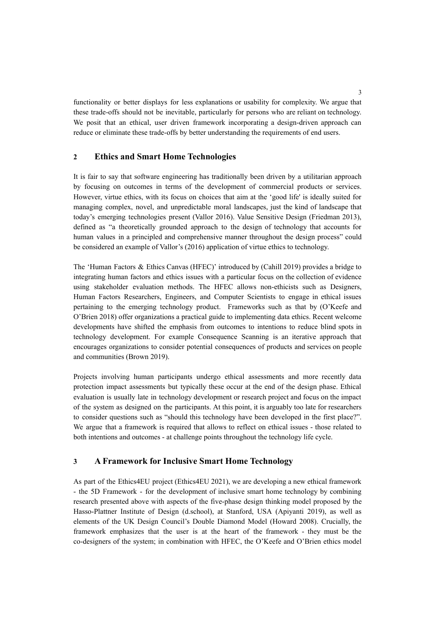functionality or better displays for less explanations or usability for complexity. We argue that these trade-offs should not be inevitable, particularly for persons who are reliant on technology. We posit that an ethical, user driven framework incorporating a design-driven approach can reduce or eliminate these trade-offs by better understanding the requirements of end users.

#### **2 Ethics and Smart Home Technologies**

It is fair to say that software engineering has traditionally been driven by a utilitarian approach by focusing on outcomes in terms of the development of commercial products or services. However, virtue ethics, with its focus on choices that aim at the 'good life' is ideally suited for managing complex, novel, and unpredictable moral landscapes, just the kind of landscape that today's emerging technologies present (Vallor 2016). Value Sensitive Design (Friedman 2013), defined as "a theoretically grounded approach to the design of technology that accounts for human values in a principled and comprehensive manner throughout the design process" could be considered an example of Vallor's (2016) application of virtue ethics to technology.

The 'Human Factors & Ethics Canvas (HFEC)' introduced by (Cahill 2019) provides a bridge to integrating human factors and ethics issues with a particular focus on the collection of evidence using stakeholder evaluation methods. The HFEC allows non-ethicists such as Designers, Human Factors Researchers, Engineers, and Computer Scientists to engage in ethical issues pertaining to the emerging technology product. Frameworks such as that by (O'Keefe and O'Brien 2018) offer organizations a practical guide to implementing data ethics. Recent welcome developments have shifted the emphasis from outcomes to intentions to reduce blind spots in technology development. For example Consequence Scanning is an iterative approach that encourages organizations to consider potential consequences of products and services on people and communities (Brown 2019).

Projects involving human participants undergo ethical assessments and more recently data protection impact assessments but typically these occur at the end of the design phase. Ethical evaluation is usually late in technology development or research project and focus on the impact of the system as designed on the participants. At this point, it is arguably too late for researchers to consider questions such as "should this technology have been developed in the first place?". We argue that a framework is required that allows to reflect on ethical issues - those related to both intentions and outcomes - at challenge points throughout the technology life cycle.

#### **3 A Framework for Inclusive Smart Home Technology**

As part of the Ethics4EU project (Ethics4EU 2021), we are developing a new ethical framework - the 5D Framework - for the development of inclusive smart home technology by combining research presented above with aspects of the five-phase design thinking model proposed by the Hasso-Plattner Institute of Design (d.school), at Stanford, USA (Apiyanti 2019), as well as elements of the UK Design Council's Double Diamond Model (Howard 2008). Crucially, the framework emphasizes that the user is at the heart of the framework - they must be the co-designers of the system; in combination with HFEC, the O'Keefe and O'Brien ethics model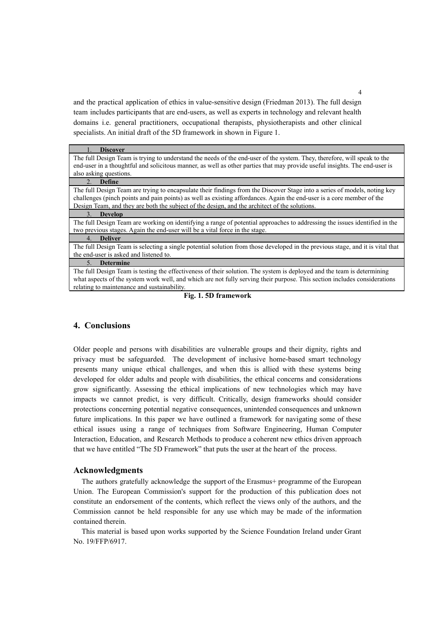and the practical application of ethics in value-sensitive design (Friedman 2013). The full design team includes participants that are end-users, as well as experts in technology and relevant health domains i.e. general practitioners, occupational therapists, physiotherapists and other clinical specialists. An initial draft of the 5D framework in shown in Figure 1.

| <b>Discover</b>                                                                                                                |
|--------------------------------------------------------------------------------------------------------------------------------|
| The full Design Team is trying to understand the needs of the end-user of the system. They, therefore, will speak to the       |
| end-user in a thoughtful and solicitous manner, as well as other parties that may provide useful insights. The end-user is     |
| also asking questions.                                                                                                         |
| <b>Define</b><br>$2^{\circ}$                                                                                                   |
| The full Design Team are trying to encapsulate their findings from the Discover Stage into a series of models, noting key      |
| challenges (pinch points and pain points) as well as existing affordances. Again the end-user is a core member of the          |
| Design Team, and they are both the subject of the design, and the architect of the solutions.                                  |
| <b>Develop</b><br>3                                                                                                            |
| The full Design Team are working on identifying a range of potential approaches to addressing the issues identified in the     |
| two previous stages. Again the end-user will be a vital force in the stage.                                                    |
| <b>Deliver</b><br>4 <sup>2</sup>                                                                                               |
| The full Design Team is selecting a single potential solution from those developed in the previous stage, and it is vital that |
| the end-user is asked and listened to.                                                                                         |
| <b>Determine</b><br>5.                                                                                                         |
| The full Design Team is testing the effectiveness of their solution. The system is deployed and the team is determining        |
| what aspects of the system work well, and which are not fully serving their purpose. This section includes considerations      |
| relating to maintenance and sustainability.                                                                                    |
| $\Gamma_{\alpha}$ 1 $\epsilon \Gamma$ from organiz                                                                             |

#### **Fig. 1. 5D framework**

#### **4. Conclusions**

Older people and persons with disabilities are vulnerable groups and their dignity, rights and privacy must be safeguarded. The development of inclusive home-based smart technology presents many unique ethical challenges, and when this is allied with these systems being developed for older adults and people with disabilities, the ethical concerns and considerations grow significantly. Assessing the ethical implications of new technologies which may have impacts we cannot predict, is very difficult. Critically, design frameworks should consider protections concerning potential negative consequences, unintended consequences and unknown future implications. In this paper we have outlined a framework for navigating some of these ethical issues using a range of techniques from Software Engineering, Human Computer Interaction, Education, and Research Methods to produce a coherent new ethics driven approach that we have entitled "The 5D Framework" that puts the user at the heart of the process.

#### **Acknowledgments**

The authors gratefully acknowledge the support of the Erasmus+ programme of the European Union. The European Commission's support for the production of this publication does not constitute an endorsement of the contents, which reflect the views only of the authors, and the Commission cannot be held responsible for any use which may be made of the information contained therein.

This material is based upon works supported by the Science Foundation Ireland under Grant No. 19/FFP/6917.